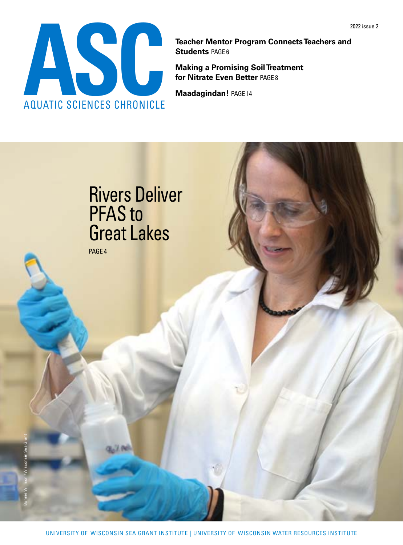

**Students** [PAGE 6](#page-9-0)

**Making a Promising Soil Treatment for Nitrate Even Better** [PAGE 8](#page-9-0)

**Maadagindan!** [PAGE](#page-9-0) 14

## Rivers Deliver PFAS to Great Lakes

[PAGE 4](#page-3-0)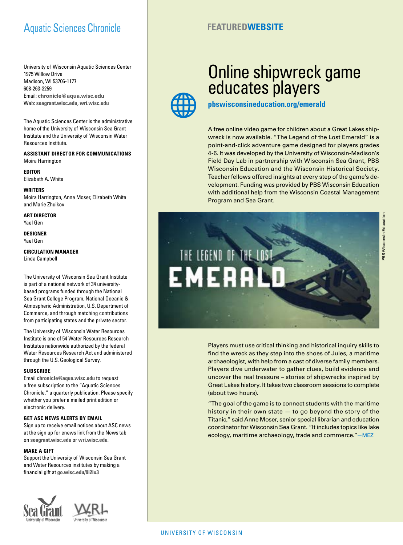#### Aquatic Sciences Chronicle

University of Wisconsin Aquatic Sciences Center 1975 Willow Drive Madison, WI 53706-1177 608-263-3259 Email: **[chronicle@aqua.wisc.edu](mailto:chronicle%40aqua.wisc.edu?subject=)** Web: **[seagrant.wisc.edu](mailto:seagrant.wisc.edu?subject=Chronicle)**, **[wri.wisc.edu](mailto:wri.wisc.edu?subject=Chronicle)**

The Aquatic Sciences Center is the administrative home of the University of Wisconsin Sea Grant Institute and the University of Wisconsin Water Resources Institute.

**ASSISTANT DIRECTOR FOR COMMUNICATIONS** Moira Harrington

**EDITOR** Elizabeth A. White

**WRITERS** Moira Harrington, Anne Moser, Elizabeth White and Marie Zhuikov

**ART DIRECTOR**  Yael Gen

**DESIGNER**  Yael Gen

**CIRCULATION MANAGER** Linda Campbell

The University of Wisconsin Sea Grant Institute is part of a national network of 34 universitybased programs funded through the National Sea Grant College Program, National Oceanic & Atmospheric Administration, U.S. Department of Commerce, and through matching contributions from participating states and the private sector.

The University of Wisconsin Water Resources Institute is one of 54 Water Resources Research Institutes nationwide authorized by the federal Water Resources Research Act and administered through the U.S. Geological Survey.

#### **SUBSCRIBE**

Email **chronicle@aqua.wisc.edu** to request a free subscription to the "Aquatic Sciences Chronicle," a quarterly publication. Please specify whether you prefer a mailed print edition or electronic delivery.

#### **GET ASC NEWS ALERTS BY EMAIL**

Sign up to receive email notices about ASC news at the sign up for enews link from the News tab on **seagrant.wisc.edu** or **wri.wisc.edu.**

#### **MAKE A GIFT**

Support the University of Wisconsin Sea Grant and Water Resources institutes by making a financial gift at **[go.wisc.edu/9i2ix3](https://go.wisc.edu/9i2ix3)**





#### **FEATUREDWEBSITE**

### Online shipwreck game educates players

**pbswisconsineducation.org/emerald**

A free online video game for children about a Great Lakes shipwreck is now available. "The Legend of the Lost Emerald" is a point-and-click adventure game designed for players grades 4-6. It was developed by the University of Wisconsin-Madison's Field Day Lab in partnership with Wisconsin Sea Grant, PBS Wisconsin Education and the Wisconsin Historical Society. Teacher fellows offered insights at every step of the game's development. Funding was provided by PBS Wisconsin Education with additional help from the Wisconsin Coastal Management Program and Sea Grant.



Players must use critical thinking and historical inquiry skills to find the wreck as they step into the shoes of Jules, a maritime archaeologist, with help from a cast of diverse family members. Players dive underwater to gather clues, build evidence and uncover the real treasure – stories of shipwrecks inspired by Great Lakes history. It takes two classroom sessions to complete (about two hours).

"The goal of the game is to connect students with the maritime history in their own state  $-$  to go beyond the story of the Titanic," said Anne Moser, senior special librarian and education coordinator for Wisconsin Sea Grant. "It includes topics like lake ecology, maritime archaeology, trade and commerce."—MEZ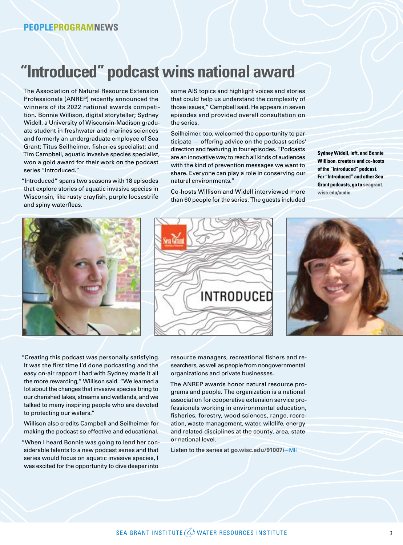### **"Introduced" podcast wins national award**

The Association of Natural Resource Extension Professionals (ANREP) recently announced the winners of its 2022 national awards competition. Bonnie Willison, digital storyteller; Sydney Widell, a University of Wisconsin-Madison graduate student in freshwater and marines sciences and formerly an undergraduate employee of Sea Grant; Titus Seilheimer, fisheries specialist; and Tim Campbell, aquatic invasive species specialist, won a gold award for their work on the podcast series "Introduced."

"Introduced" spans two seasons with 18 episodes that explore stories of aquatic invasive species in Wisconsin, like rusty crayfish, purple loosestrife and spiny waterfleas.

some AIS topics and highlight voices and stories that could help us understand the complexity of those issues," Campbell said. He appears in seven episodes and provided overall consultation on the series.

Seilheimer, too, welcomed the opportunity to participate — offering advice on the podcast series' direction and featuring in four episodes. "Podcasts are an innovative way to reach all kinds of audiences with the kind of prevention messages we want to share. Everyone can play a role in conserving our natural environments."

Co-hosts Willison and Widell interviewed more than 60 people for the series. The guests included **Sydney Widell, left, and Bonnie Willison, creators and co-hosts of the "Introduced" podcast. For "Introduced" and other Sea Grant podcasts, go to [seagrant.](https://seagrant.wisc.edu/audio) [wisc.edu/audio.](https://seagrant.wisc.edu/audio)**







"Creating this podcast was personally satisfying. It was the first time I'd done podcasting and the easy on-air rapport I had with Sydney made it all the more rewarding," Willison said. "We learned a lot about the changes that invasive species bring to our cherished lakes, streams and wetlands, and we talked to many inspiring people who are devoted to protecting our waters."

Willison also credits Campbell and Seilheimer for making the podcast so effective and educational.

"When I heard Bonnie was going to lend her considerable talents to a new podcast series and that series would focus on aquatic invasive species, I was excited for the opportunity to dive deeper into

resource managers, recreational fishers and researchers, as well as people from nongovernmental organizations and private businesses.

The ANREP awards honor natural resource programs and people. The organization is a national association for cooperative extension service professionals working in environmental education, fisheries, forestry, wood sciences, range, recreation, waste management, water, wildlife, energy and related disciplines at the county, area, state or national level.

Listen to the series at **go.wisc.edu/91007i**—MH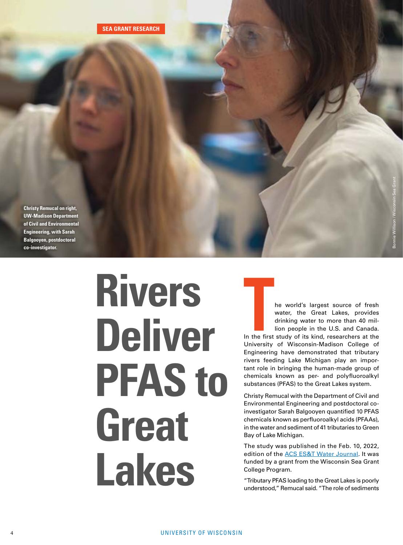<span id="page-3-0"></span>**Christy Remucal on right, UW-Madison Department of Civil and Environmental Engineering, with Sarah Balgooyen, postdoctoral co-investigator.** 

# **Rivers Deliver PFAS to Great Lakes**

**THE WATER ISS THE WATER THE WATER CONTROVER SET AND MANUTE CONTROLLED A CONTROLLED A CONTROLLED IN THE FIRST STATE OF THE STATE OF THE STATE OF THE STATE OF THE STATE OF THE STATE OF THE STATE OF THE STATE OF THE STATE OF** water, the Great Lakes, provides drinking water to more than 40 million people in the U.S. and Canada.

Bonnie Willison / Wisconsin Sea Grant

University of Wisconsin-Madison College of Engineering have demonstrated that tributary rivers feeding Lake Michigan play an important role in bringing the human-made group of chemicals known as per- and polyfluoroalkyl substances (PFAS) to the Great Lakes system.

Christy Remucal with the Department of Civil and Environmental Engineering and postdoctoral coinvestigator Sarah Balgooyen quantified 10 PFAS chemicals known as perfluoroalkyl acids (PFAAs), in the water and sediment of 41 tributaries to Green Bay of Lake Michigan.

The study was published in the Feb. 10, 2022, edition of the [ACS ES&T Water Journal](https://pubs.acs.org/doi/full/10.1021/acsestwater.1c00348). It was funded by a grant from the Wisconsin Sea Grant College Program.

"Tributary PFAS loading to the Great Lakes is poorly understood," Remucal said. "The role of sediments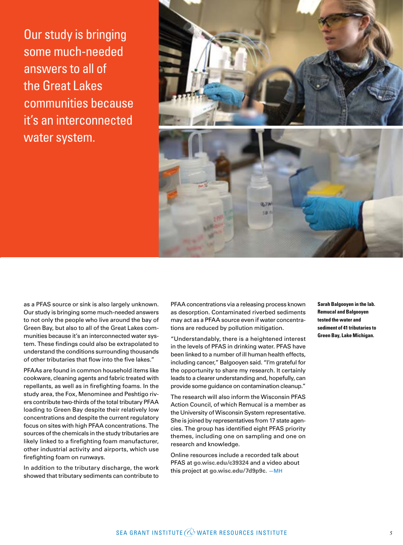Our study is bringing some much-needed answers to all of the Great Lakes communities because it's an interconnected water system.



as a PFAS source or sink is also largely unknown. Our study is bringing some much-needed answers to not only the people who live around the bay of Green Bay, but also to all of the Great Lakes communities because it's an interconnected water system. These findings could also be extrapolated to understand the conditions surrounding thousands of other tributaries that flow into the five lakes."

PFAAs are found in common household items like cookware, cleaning agents and fabric treated with repellants, as well as in firefighting foams. In the study area, the Fox, Menominee and Peshtigo rivers contribute two-thirds of the total tributary PFAA loading to Green Bay despite their relatively low concentrations and despite the current regulatory focus on sites with high PFAA concentrations. The sources of the chemicals in the study tributaries are likely linked to a firefighting foam manufacturer, other industrial activity and airports, which use firefighting foam on runways.

In addition to the tributary discharge, the work showed that tributary sediments can contribute to

PFAA concentrations via a releasing process known as desorption. Contaminated riverbed sediments may act as a PFAA source even if water concentrations are reduced by pollution mitigation.

"Understandably, there is a heightened interest in the levels of PFAS in drinking water. PFAS have been linked to a number of ill human health effects, including cancer," Balgooyen said. "I'm grateful for the opportunity to share my research. It certainly leads to a clearer understanding and, hopefully, can provide some guidance on contamination cleanup."

The research will also inform the Wisconsin PFAS Action Council, of which Remucal is a member as the University of Wisconsin System representative. She is joined by representatives from 17 state agencies. The group has identified eight PFAS priority themes, including one on sampling and one on research and knowledge.

Online resources include a recorded talk about PFAS at **[go.wisc.edu/c39324](https://go.wisc.edu/c39324)** and a video about this project at **[go.wisc.edu/7d9p9c](https://go.wisc.edu/7d9p9c).** —MH

**Sarah Balgooyen in the lab. Remucal and Balgooyen tested the water and sediment of 41 tributaries to Green Bay, Lake Michigan.**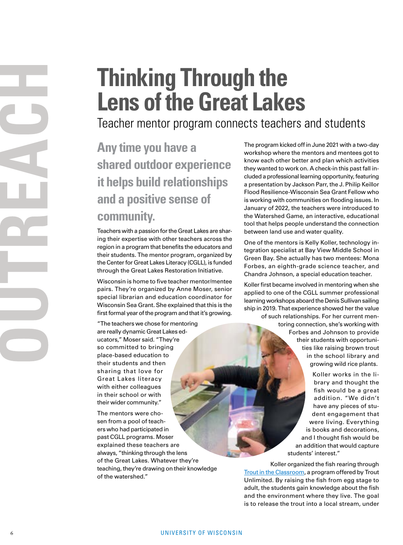# **Thinking Through the Lens of the Great Lakes**

Teacher mentor program connects teachers and students

#### **Any time you have a shared outdoor experience it helps build relationships and a positive sense of community.**

Teachers with a passion for the Great Lakes are sharing their expertise with other teachers across the region in a program that benefits the educators and their students. The mentor program, organized by the Center for Great Lakes Literacy (CGLL), is funded through the Great Lakes Restoration Initiative.

Wisconsin is home to five teacher mentor/mentee pairs. They're organized by Anne Moser, senior special librarian and education coordinator for Wisconsin Sea Grant. She explained that this is the first formal year of the program and that it's growing.

"The teachers we chose for mentoring are really dynamic Great Lakes ed ucators," Moser said. "They're so committed to bringing place-based education to their students and then sharing that love for Great Lakes literacy with either colleagues in their school or with their wider community."

The mentors were cho sen from a pool of teach ers who had participated in past CGLL programs. Moser explained these teachers are always, "thinking through the lens of the Great Lakes. Whatever they're teaching, they're drawing on their knowledge of the watershed."

The program kicked off in June 2021 with a two-day workshop where the mentors and mentees got to know each other better and plan which activities they wanted to work on. A check-in this past fall in cluded a professional learning opportunity, featuring a presentation by Jackson Parr, the J. Philip Keillor Flood Resilience-Wisconsin Sea Grant Fellow who is working with communities on flooding issues. In January of 2022, the teachers were introduced to the Watershed Game, an interactive, educational tool that helps people understand the connection between land use and water quality.

One of the mentors is Kelly Koller, technology in tegration specialist at Bay View Middle School in Green Bay. She actually has two mentees: Mona Forbes, an eighth-grade science teacher, and Chandra Johnson, a special education teacher.

Koller first became involved in mentoring when she applied to one of the CGLL summer professional learning workshops aboard the Denis Sullivan sailing ship in 2019. That experience showed her the value

> of such relationships. For her current men toring connection, she's working with Forbes and Johnson to provide their students with opportuni ties like raising brown trout in the school library and growing wild rice plants.

> > Koller works in the li brary and thought the fish would be a great addition. "We didn't have any pieces of stu dent engagement that were living. Everything is books and decorations, and I thought fish would be an addition that would capture students' interest."

Koller organized the fish rearing through [Trout in the Classroom](https://www.troutintheclassroom.org/), a program offered by Trout Unlimited. By raising the fish from egg stage to adult, the students gain knowledge about the fish and the environment where they live. The goal is to release the trout into a local stream, under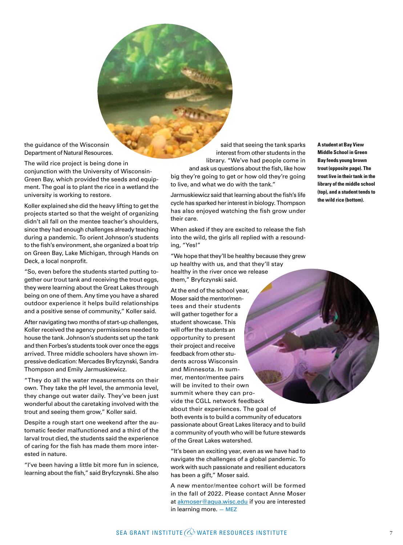the guidance of the Wisconsin Department of Natural Resources.

The wild rice project is being done in conjunction with the University of Wisconsin-Green Bay, which provided the seeds and equipment. The goal is to plant the rice in a wetland the university is working to restore.

Koller explained she did the heavy lifting to get the projects started so that the weight of organizing didn't all fall on the mentee teacher's shoulders, since they had enough challenges already teaching during a pandemic. To orient Johnson's students to the fish's environment, she organized a boat trip on Green Bay, Lake Michigan, through Hands on Deck, a local nonprofit.

"So, even before the students started putting together our trout tank and receiving the trout eggs, they were learning about the Great Lakes through being on one of them. Any time you have a shared outdoor experience it helps build relationships and a positive sense of community," Koller said.

After navigating two months of start-up challenges, Koller received the agency permissions needed to house the tank. Johnson's students set up the tank and then Forbes's students took over once the eggs arrived. Three middle schoolers have shown impressive dedication: Mercades Bryfczynski, Sandra Thompson and Emily Jarmuskiewicz.

"They do all the water measurements on their own. They take the pH level, the ammonia level, they change out water daily. They've been just wonderful about the caretaking involved with the trout and seeing them grow," Koller said.

Despite a rough start one weekend after the automatic feeder malfunctioned and a third of the larval trout died, the students said the experience of caring for the fish has made them more interested in nature.

"I've been having a little bit more fun in science, learning about the fish," said Bryfczynski. She also

said that seeing the tank sparks interest from other students in the library. "We've had people come in and ask us questions about the fish, like how big they're going to get or how old they're going

to live, and what we do with the tank." Jarmuskiewicz said that learning about the fish's life cycle has sparked her interest in biology. Thompson has also enjoyed watching the fish grow under their care.

When asked if they are excited to release the fish into the wild, the girls all replied with a resounding, "Yes!"

"We hope that they'll be healthy because they grew up healthy with us, and that they'll stay healthy in the river once we release them," Bryfczynski said.

At the end of the school year, Moser said the mentor/mentees and their students will gather together for a student showcase. This will offer the students an opportunity to present their project and receive feedback from other students across Wisconsin and Minnesota. In summer, mentor/mentee pairs will be invited to their own summit where they can provide the CGLL network feedback about their experiences. The goal of both events is to build a community of educators passionate about Great Lakes literacy and to build a community of youth who will be future stewards of the Great Lakes watershed.

"It's been an exciting year, even as we have had to navigate the challenges of a global pandemic. To work with such passionate and resilient educators has been a gift," Moser said.

A new mentor/mentee cohort will be formed in the fall of 2022. Please contact Anne Moser at [akmoser@aqua.wisc.edu](mailto:akmoser%40aqua.wisc.edu?subject=Mentor%20connection) if you are interested in learning more. — MEZ

**A student at Bay View Middle School in Green Bay feeds young brown trout (opposite page). The trout live in their tank in the library of the middle school (top), and a student tends to the wild rice (bottom).**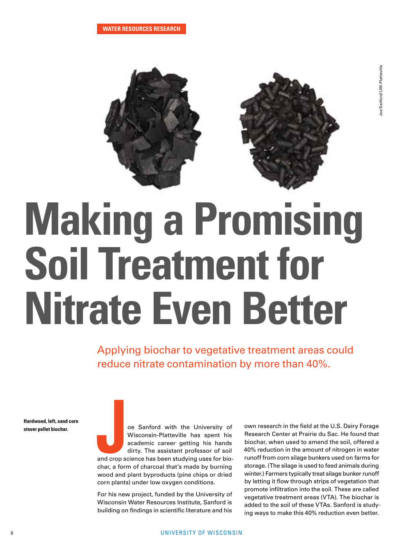

# **Making a Promising Soil Treatment for Nitrate Even Better**

Applying biochar to vegetative treatment areas could reduce nitrate contamination by more than 40%.

**Hardwood, left, sand corn stover pellet biochar.**

oe Sanford with the University of<br>Wisconsin-Platteville has spent his<br>academic career getting his hands<br>dirty. The assistant professor of soil<br>and crop science has been studying uses for bio-Wisconsin-Platteville has spent his academic career getting his hands dirty. The assistant professor of soil and crop science has been studying uses for biochar, a form of charcoal that's made by burning wood and plant byproducts (pine chips or dried corn plants) under low oxygen conditions.

For his new project, funded by the University of Wisconsin Water Resources Institute, Sanford is building on findings in scientific literature and his

own research in the field at the U.S. Dairy Forage Research Center at Prairie du Sac. He found that biochar, when used to amend the soil, offered a 40% reduction in the amount of nitrogen in water runoff from corn silage bunkers used on farms for storage. (The silage is used to feed animals during winter.) Farmers typically treat silage bunker runoff by letting it flow through strips of vegetation that promote infiltration into the soil. These are called vegetative treatment areas (VTA). The biochar is added to the soil of these VTAs. Sanford is studying ways to make this 40% reduction even better.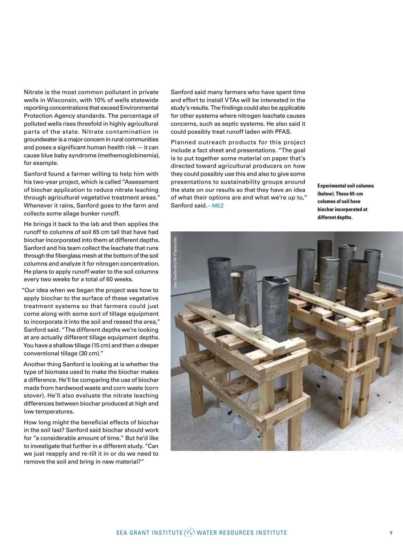Nitrate is the most common pollutant in private wells in Wisconsin, with 10% of wells statewide reporting concentrations that exceed Environmental Protection Agency standards. The percentage of polluted wells rises threefold in highly agricultural parts of the state. Nitrate contamination in groundwater is a major concern in rural communities and poses a significant human health risk — it can cause blue baby syndrome (methemoglobinemia), for example.

Sanford found a farmer willing to help him with his two-year project, which is called "Assessment of biochar application to reduce nitrate leaching through agricultural vegetative treatment areas." Whenever it rains, Sanford goes to the farm and collects some silage bunker runoff.

He brings it back to the lab and then applies the runoff to columns of soil 65 cm tall that have had biochar incorporated into them at different depths. Sanford and his team collect the leachate that runs through the fiberglass mesh at the bottom of the soil columns and analyze it for nitrogen concentration. He plans to apply runoff water to the soil columns every two weeks for a total of 60 weeks.

"Our idea when we began the project was how to apply biochar to the surface of these vegetative treatment systems so that farmers could just come along with some sort of tillage equipment to incorporate it into the soil and reseed the area," Sanford said. "The different depths we're looking at are actually different tillage equipment depths. You have a shallow tillage (15 cm) and then a deeper conventional tillage (30 cm)."

Another thing Sanford is looking at is whether the type of biomass used to make the biochar makes a difference. He'll be comparing the use of biochar made from hardwood waste and corn waste (corn stover). He'll also evaluate the nitrate leaching differences between biochar produced at high and low temperatures.

How long might the beneficial effects of biochar in the soil last? Sanford said biochar should work for "a considerable amount of time." But he'd like to investigate that further in a different study. "Can we just reapply and re-till it in or do we need to remove the soil and bring in new material?"

Sanford said many farmers who have spent time and effort to install VTAs will be interested in the study's results. The findings could also be applicable for other systems where nitrogen leachate causes concerns, such as septic systems. He also said it could possibly treat runoff laden with PFAS.

Planned outreach products for this project include a fact sheet and presentations. "The goal is to put together some material on paper that's directed toward agricultural producers on how they could possibly use this and also to give some presentations to sustainability groups around the state on our results so that they have an idea of what their options are and what we're up to," Sanford said.—MEZ

**Experimental soil columns (below). These 65-cm columns of soil have biochar incorporated at different depths.**

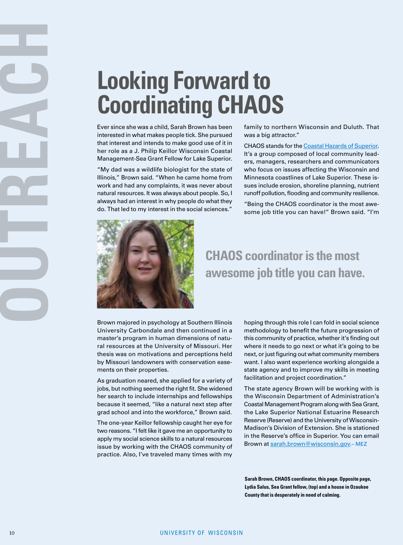# <span id="page-9-0"></span>**Looking Forward to Coordinating CHAOS**

Ever since she was a child, Sarah Brown has been interested in what makes people tick. She pursued that interest and intends to make good use of it in her role as a J. Philip Keillor Wisconsin Coastal Management-Sea Grant Fellow for Lake Superior.

"My dad was a wildlife biologist for the state of Illinois," Brown said. "When he came home from work and had any complaints, it was never about natural resources. It was always about people. So, I always had an interest in why people do what they do. That led to my interest in the social sciences."

family to northern Wisconsin and Duluth. That was a big attractor."

CHAOS stands for the [Coastal Hazards of Superior.](https://seagrant.umn.edu/programs/community-resilience-program/lake-superior-coastal-hazards) It's a group composed of local community leaders, managers, researchers and communicators who focus on issues affecting the Wisconsin and Minnesota coastlines of Lake Superior. These issues include erosion, shoreline planning, nutrient runoff pollution, flooding and community resilience.

"Being the CHAOS coordinator is the most awesome job title you can have!" Brown said. "I'm



#### **CHAOS coordinator is the most awesome job title you can have.**

Brown majored in psychology at Southern Illinois University Carbondale and then continued in a master's program in human dimensions of natural resources at the University of Missouri. Her thesis was on motivations and perceptions held by Missouri landowners with conservation easements on their properties.

As graduation neared, she applied for a variety of jobs, but nothing seemed the right fit. She widened her search to include internships and fellowships because it seemed, "like a natural next step after grad school and into the workforce," Brown said.

The one-year Keillor fellowship caught her eye for two reasons. "I felt like it gave me an opportunity to apply my social science skills to a natural resources issue by working with the CHAOS community of practice. Also, I've traveled many times with my

hoping through this role I can fold in social science methodology to benefit the future progression of this community of practice, whether it's finding out where it needs to go next or what it's going to be next, or just figuring out what community members want. I also want experience working alongside a state agency and to improve my skills in meeting facilitation and project coordination."

The state agency Brown will be working with is the Wisconsin Department of Administration's Coastal Management Program along with Sea Grant, the Lake Superior National Estuarine Research Reserve (Reserve) and the University of Wisconsin-Madison's Division of Extension. She is stationed in the Reserve's office in Superior. You can email Brown at [sarah.brown@wisconsin.go](mailto:sarah.brown%40wisconsin.go?subject=CHAOS)v.– MEZ

**Sarah Brown, CHAOS coordinator, this page. Opposite page, Lydia Salus, Sea Grant fellow, (top) and a house in Ozaukee County that is desperately in need of calming.**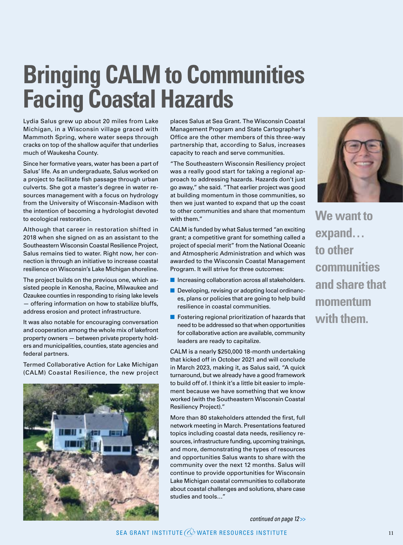# **Bringing CALM to Communities Facing Coastal Hazards**

Lydia Salus grew up about 20 miles from Lake Michigan, in a Wisconsin village graced with Mammoth Spring, where water seeps through cracks on top of the shallow aquifer that underlies much of Waukesha County.

Since her formative years, water has been a part of Salus' life. As an undergraduate, Salus worked on a project to facilitate fish passage through urban culverts. She got a master's degree in water resources management with a focus on hydrology from the University of Wisconsin-Madison with the intention of becoming a hydrologist devoted to ecological restoration.

Although that career in restoration shifted in 2018 when she signed on as an assistant to the Southeastern Wisconsin Coastal Resilience Project, Salus remains tied to water. Right now, her connection is through an initiative to increase coastal resilience on Wisconsin's Lake Michigan shoreline.

The project builds on the previous one, which assisted people in Kenosha, Racine, Milwaukee and Ozaukee counties in responding to rising lake levels — offering information on how to stabilize bluffs, address erosion and protect infrastructure.

It was also notable for encouraging conversation and cooperation among the whole mix of lakefront property owners — between private property holders and municipalities, counties, state agencies and federal partners.

Termed Collaborative Action for Lake Michigan (CALM) Coastal Resilience, the new project



places Salus at Sea Grant. The Wisconsin Coastal Management Program and State Cartographer's Office are the other members of this three-way partnership that, according to Salus, increases capacity to reach and serve communities.

"The Southeastern Wisconsin Resiliency project was a really good start for taking a regional approach to addressing hazards. Hazards don't just go away," she said. "That earlier project was good at building momentum in those communities, so then we just wanted to expand that up the coast to other communities and share that momentum with them."

CALM is funded by what Salus termed "an exciting grant; a competitive grant for something called a project of special merit" from the National Oceanic and Atmospheric Administration and which was awarded to the Wisconsin Coastal Management Program. It will strive for three outcomes:

- Increasing collaboration across all stakeholders.
- Developing, revising or adopting local ordinances, plans or policies that are going to help build resilience in coastal communities.
- $\blacksquare$  Fostering regional prioritization of hazards that need to be addressed so that when opportunities for collaborative action are available, community leaders are ready to capitalize.

CALM is a nearly \$250,000 18-month undertaking that kicked off in October 2021 and will conclude in March 2023, making it, as Salus said, "A quick turnaround, but we already have a good framework to build off of. I think it's a little bit easier to implement because we have something that we know worked (with the Southeastern Wisconsin Coastal Resiliency Project)."

More than 80 stakeholders attended the first, full network meeting in March. Presentations featured topics including coastal data needs, resiliency resources, infrastructure funding, upcoming trainings, and more, demonstrating the types of resources and opportunities Salus wants to share with the community over the next 12 months. Salus will continue to provide opportunities for Wisconsin Lake Michigan coastal communities to collaborate about coastal challenges and solutions, share case studies and tools…"



**We want to expand… to other communities and share that momentum with them.**

*continued on page 12* >>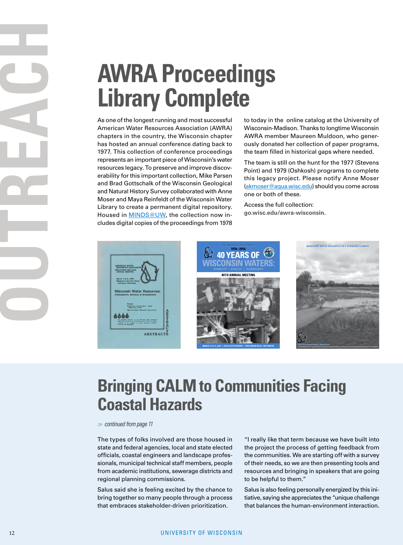# **AWRA Proceedings Library Complete**

As one of the longest running and most successful American Water Resources Association (AWRA) chapters in the country, the Wisconsin chapter has hosted an annual conference dating back to 1977. This collection of conference proceedings represents an important piece of Wisconsin's water resources legacy. To preserve and improve discoverability for this important collection, Mike Parsen and Brad Gottschalk of the Wisconsin Geological and Natural History Survey collaborated with Anne Moser and Maya Reinfeldt of the Wisconsin Water Library to create a permanent digital repository. Housed in **MINDS@UW**, the collection now includes digital copies of the proceedings from 1978

to today in the online catalog at the University of Wisconsin-Madison. Thanks to longtime Wisconsin AWRA member Maureen Muldoon, who generously donated her collection of paper programs, the team filled in historical gaps where needed.

The team is still on the hunt for the 1977 (Stevens Point) and 1979 (Oshkosh) programs to complete this legacy project. Please notify Anne Moser [\(akmoser@aqua.wisc.edu\)](mailto:akmoser%40aqua.wisc.edu?subject=AWRA) should you come across one or both of these.

Access the full collection: **[go.wisc.edu/awra-wisconsin](https://go.wisc.edu/awra-wisconsin)**.







## **Bringing CALM to Communities Facing Coastal Hazards**

*>> continued from page 11*

The types of folks involved are those housed in state and federal agencies, local and state elected officials, coastal engineers and landscape professionals, municipal technical staff members, people from academic institutions, sewerage districts and regional planning commissions.

Salus said she is feeling excited by the chance to bring together so many people through a process that embraces stakeholder-driven prioritization.

"I really like that term because we have built into the project the process of getting feedback from the communities. We are starting off with a survey of their needs, so we are then presenting tools and resources and bringing in speakers that are going to be helpful to them."

Salus is also feeling personally energized by this initiative, saying she appreciates the "unique challenge that balances the human-environment interaction.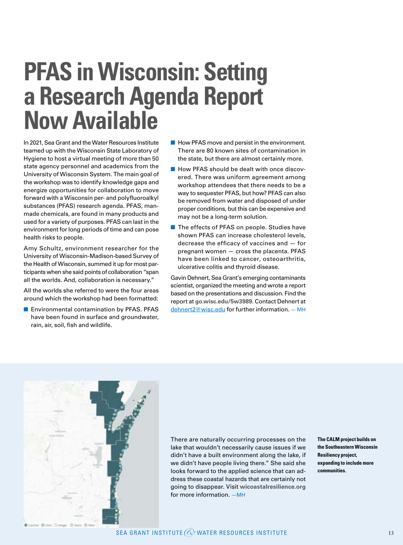# **PFAS in Wisconsin: Setting a Research Agenda Report Now Available**

In 2021, Sea Grant and the Water Resources Institute teamed up with the Wisconsin State Laboratory of Hygiene to host a virtual meeting of more than 50 state agency personnel and academics from the University of Wisconsin System. The main goal of the workshop was to identify knowledge gaps and energize opportunities for collaboration to move forward with a Wisconsin per- and polyfluoroalkyl substances (PFAS) research agenda. PFAS, manmade chemicals, are found in many products and used for a variety of purposes. PFAS can last in the environment for long periods of time and can pose health risks to people.

Amy Schultz, environment researcher for the University of Wisconsin-Madison-based Survey of the Health of Wisconsin, summed it up for most participants when she said points of collaboration "span all the worlds. And, collaboration is necessary."

All the worlds she referred to were the four areas around which the workshop had been formatted:

■ Environmental contamination by PFAS. PFAS have been found in surface and groundwater, rain, air, soil, fish and wildlife.

- How PFAS move and persist in the environment. There are 80 known sites of contamination in the state, but there are almost certainly more.
- How PFAS should be dealt with once discovered. There was uniform agreement among workshop attendees that there needs to be a way to sequester PFAS, but how? PFAS can also be removed from water and disposed of under proper conditions, but this can be expensive and may not be a long-term solution.
- The effects of PFAS on people. Studies have shown PFAS can increase cholesterol levels, decrease the efficacy of vaccines and — for pregnant women — cross the placenta. PFAS have been linked to cancer, osteoarthritis, ulcerative colitis and thyroid disease.

Gavin Dehnert, Sea Grant's emerging contaminants scientist, organized the meeting and wrote a report based on the presentations and discussion. Find the report at **[go.wisc.edu/5w3989](http://go.wisc.edu/5w3989)**. Contact Dehnert at [dehnert2@wisc.edu](mailto:dehnert2%40wisc.edu?subject=PFAS%20in%20Wisconsin) for further information. — MH



There are naturally occurring processes on the lake that wouldn't necessarily cause issues if we didn't have a built environment along the lake, if we didn't have people living there." She said she looks forward to the applied science that can address these coastal hazards that are certainly not going to disappear. Visit **[wicoastalresilience.org](https://wicoastalresilience.org)** for more information. —MH

**The CALM project builds on the Southeastern Wisconsin Resiliency project, expanding to include more communities.**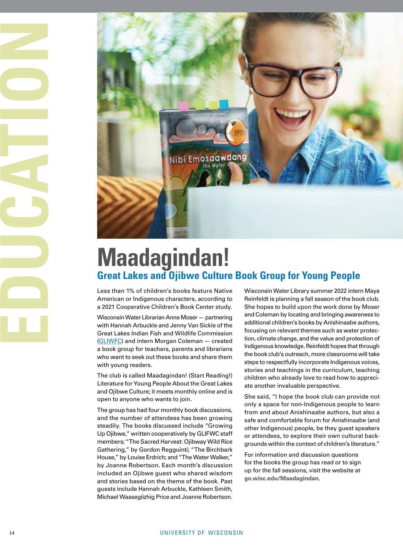



## **Maadagindan! Great Lakes and Ojibwe Culture Book Group for Young People**

Less than 1% of children's books feature Native American or Indigenous characters, according to a 2021 Cooperative Children's Book Center study.

Wisconsin Water Librarian Anne Moser — partnering with Hannah Arbuckle and Jenny Van Sickle of the Great Lakes Indian Fish and Wildlife Commission<br>[\(GLIWFC](https://glifwc.org/)) and intern Morgan Coleman – created a book group for teachers, parents and librarians who want to seek out these books and share them with young readers.

The club is called Maadagindan! (Start Reading!) Literature for Young People About the Great Lakes and Ojibwe Culture; it meets monthly online and is open to anyone who wants to join.

The group has had four monthly book discussions, and the number of attendees has been growing steadily. The books discussed include "Growing Up Ojibwe," written cooperatively by GLIFWC staff members; "The Sacred Harvest: Ojibway Wild Rice Gathering," by Gordon Regguinti; "The Birchbark House," by Louise Erdrich; and "The Water Walker," by Joanne Robertson. Each month's discussion included an Ojibwe guest who shared wisdom and stories based on the theme of the book. Past guests include Hannah Arbuckle, Kathleen Smith, Michael Waasegiizhig Price and Joanne Robertson. Wisconsin Water Library summer 2022 intern Maya Reinfeldt is planning a fall season of the book club. She hopes to build upon the work done by Moser and Coleman by locating and bringing awareness to additional children's books by Anishinaabe authors, focusing on relevant themes such as water protec tion, climate change, and the value and protection of Indigenous knowledge. Reinfeldt hopes that through the book club's outreach, more classrooms will take steps to respectfully incorporate Indigenous voices, stories and teachings in the curriculum, teaching children who already love to read how to appreci ate another invaluable perspective.

She said, "I hope the book club can provide not only a space for non-Indigenous people to learn from and about Anishinaabe authors, but also a safe and comfortable forum for Anishinaabe (and other Indigenous) people, be they guest speakers or attendees, to explore their own cultural back grounds within the context of children's literature."

For information and discussion questions for the books the group has read or to sign up for the fall sessions, visit the website at **[go.wisc.edu/Maadagindan](http://go.wisc.edu/Maadagindan)** .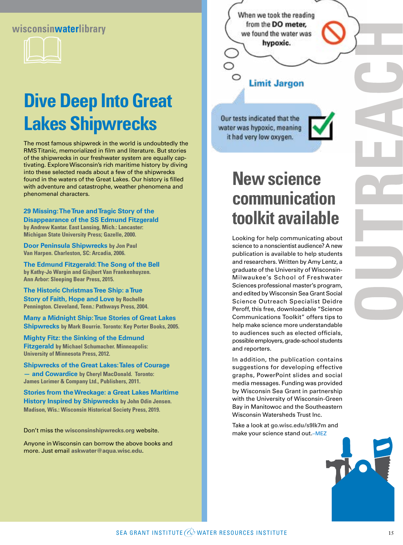#### **wisconsinwaterlibrary**



## **Dive Deep Into Great Lakes Shipwrecks**

The most famous shipwreck in the world is undoubtedly the RMS Titanic, memorialized in film and literature. But stories of the shipwrecks in our freshwater system are equally captivating. Explore Wisconsin's rich maritime history by diving into these selected reads about a few of the shipwrecks found in the waters of the Great Lakes. Our history is filled with adventure and catastrophe, weather phenomena and phenomenal characters.

**29 Missing: The True and Tragic Story of the Disappearance of the SS Edmund Fitzgerald by Andrew Kantar. East Lansing, Mich.: Lancaster: Michigan State University Press; Gazelle, 2000.**

**Door Peninsula Shipwrecks by Jon Paul Van Harpen. Charleston, SC: Arcadia, 2006.**

**The Edmund Fitzgerald: The Song of the Bell by Kathy-Jo Wargin and Gisjbert Van Frankenhuyzen. Ann Arbor: Sleeping Bear Press, 2015.**

**The Historic Christmas Tree Ship: a True Story of Faith, Hope and Love by Rochelle Pennington. Cleveland, Tenn.: Pathways Press, 2004.**

**Many a Midnight Ship: True Stories of Great Lakes Shipwrecks by Mark Bourrie. Toronto: Key Porter Books, 2005.**

**Mighty Fitz: the Sinking of the Edmund Fitzgerald by Michael Schumacher. Minneapolis: University of Minnesota Press, 2012.**

**Shipwrecks of the Great Lakes: Tales of Courage — and Cowardice by Cheryl MacDonald. Toronto: James Lorimer & Company Ltd., Publishers, 2011.**

**Stories from the Wreckage: a Great Lakes Maritime History Inspired by Shipwrecks by John Odin Jensen. Madison, Wis.: Wisconsin Historical Society Press, 2019.**

Don't miss the **[wisconsinshipwrecks.org](https://wisconsinshipwrecks.org)** website.

Anyone in Wisconsin can borrow the above books and more. Just email **[askwater@aqua.wisc.edu](mailto:askwater%40aqua.wisc.edu?subject=Shipwrecks)**.

When we took the reading from the DO meter, we found the water was hypoxic.

#### **Limit Jargon**

Our tests indicated that the water was hypoxic, meaning it had very low oxygen.



## **New science communication toolkit available**

Looking for help communicating about science to a nonscientist audience? A new publication is available to help students and researchers. Written by Amy Lentz, a graduate of the University of Wisconsin-Milwaukee's School of Freshwater Sciences professional master's program, and edited by Wisconsin Sea Grant Social Science Outreach Specialist Deidre Peroff, this free, downloadable "Science Communications Toolkit" offers tips to help make science more understandable to audiences such as elected officials, possible employers, grade-school students and reporters.

In addition, the publication contains suggestions for developing effective graphs, PowerPoint slides and social media messages. Funding was provided by Wisconsin Sea Grant in partnership with the University of Wisconsin-Green Bay in Manitowoc and the Southeastern Wisconsin Watersheds Trust Inc.

Take a look at **[go.wisc.edu/s9lk7m](https://publications.aqua.wisc.edu/product/science-communications-toolkit/)** and make your science stand out.–MEZ